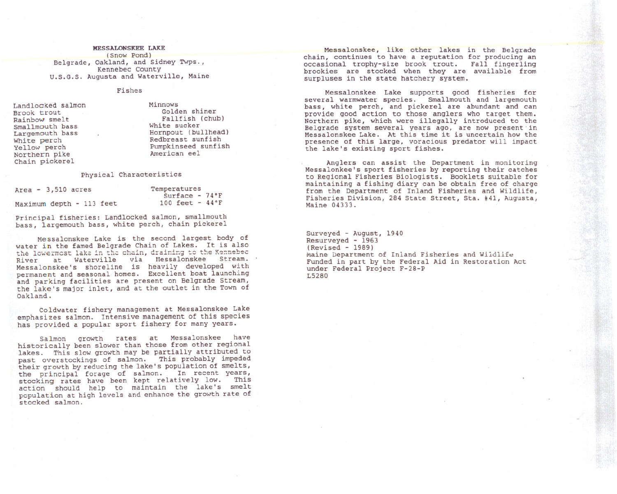## **MESSALONSKEE LAKE** (Snow Pond) Belgrade, Oakland, and Sidney Twps., Kennebec County U.S.G.S. Augusta and Waterville, Maine

## Fishes

Landlocked salmon Brook trout Rainbow smelt Smallmouth bass Largemouth bass White perch Yellow perch Northern pike Chain pickerel

Minnows Golden shiner Fallfish (chub) White sucker Hornpout (bullhead) Redbreast sunfish Pumpkinseed sunfish American eel

## physical Characteristics

| $Area - 3,510 acres$     |  |  | Temperatures                     |  |  |
|--------------------------|--|--|----------------------------------|--|--|
|                          |  |  | Surface - $74^{\circ}F$          |  |  |
| Maximum depth - 113 feet |  |  | $100 \text{ feet} - 44\degree F$ |  |  |

Principal fisheries: Landlocked salmon, smallmouth bass, largemouth bass, white perch, chain pickerel

Messalonskee Lake is the second largest body of water in the famed Belgrade Chain of Lakes. It is also the lowermost lake in the chain, draining to the Kennebec River at Waterville via Hessalonskee Stream. Messalonskee's shoreline is heavily developed with permanent and seasonal homes. Excellent boat launching and parking facilities are present on Belgrade Stream, the lake's major inlet, and at the outlet in the Town of Oakland.

Coldwater fishery management at Messalonskee Lake emphasizes salmon. Intensive management of this species has provided a popular sport fishery for many years.

Salmon growth rates at Messalonskee have historically been slower than those from other regional lakes. This slow growth may be partially attributed to past overstockings of salmon. This probably impeded their growth by reducing the lake's population of smelts, the principal forage of salmon. In recent years, stocking rates have been kept relatively low. This action should help to maintain the lake's smelt population at high levels and enhance the growth rate of stocked salmon.

Messalonskee, like other lakes in the Belgrad chain, continues to have a reputation for producing an occasional trophy-size brook trout. Fall fingerlin brookies are stocked when they are available from surpluses in the state hatchery system.

Messalonskee Lake supports good fisheries for several warmwater species. Smallmouth and largemouth bass, white perch, and pickerel are abundant and can provide good action to those anglers who target them. Northern pike, which were illegally introduced to the Belgrade system several years ago, are now present in Messalonskee Lake. At this time it is uncertain how the presence of this large, voracious predator will impact the lake's existing sport fishes.

Anglers can assist the Department in monitoring Messalonkee's sport fisheries by reporting their catches to Regional Fisheries Biologists. Booklets suitable for maintaining a fishing diary can be obtain free of charge from the Department of Inland Fisheries and wildlife, Fisheries Division, 284 State Street, Sta. #41, Augusta, Maine 04333.

Surveyed - August, 1940 Resurveyed - 1963 (Revised - 1989) Maine Department of Inland Fisheries and Wildlife Funded in part by the Federal Aid in Restoration Act under Federal Project F-28-P L5280